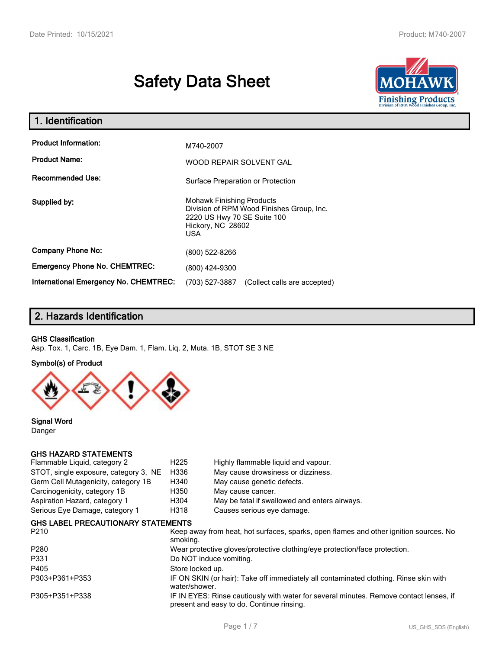# **Safety Data Sheet**



| 1. Identification                                   |                                                                                                                                          |  |  |  |
|-----------------------------------------------------|------------------------------------------------------------------------------------------------------------------------------------------|--|--|--|
| <b>Product Information:</b><br><b>Product Name:</b> | M740-2007<br>WOOD REPAIR SOLVENT GAL                                                                                                     |  |  |  |
| <b>Recommended Use:</b>                             | Surface Preparation or Protection                                                                                                        |  |  |  |
| Supplied by:                                        | <b>Mohawk Finishing Products</b><br>Division of RPM Wood Finishes Group, Inc.<br>2220 US Hwy 70 SE Suite 100<br>Hickory, NC 28602<br>USA |  |  |  |
| <b>Company Phone No:</b>                            | (800) 522-8266                                                                                                                           |  |  |  |
| <b>Emergency Phone No. CHEMTREC:</b>                | (800) 424-9300                                                                                                                           |  |  |  |
| <b>International Emergency No. CHEMTREC:</b>        | (703) 527-3887<br>(Collect calls are accepted)                                                                                           |  |  |  |

# **2. Hazards Identification**

### **GHS Classification**

Asp. Tox. 1, Carc. 1B, Eye Dam. 1, Flam. Liq. 2, Muta. 1B, STOT SE 3 NE

### **Symbol(s) of Product**



**Signal Word** Danger

### **GHS HAZARD STATEMENTS**

| Flammable Liquid, category 2              | H <sub>225</sub> | Highly flammable liquid and vapour.           |
|-------------------------------------------|------------------|-----------------------------------------------|
| STOT, single exposure, category 3, NE     | H336             | May cause drowsiness or dizziness.            |
| Germ Cell Mutagenicity, category 1B       | H340             | May cause genetic defects.                    |
| Carcinogenicity, category 1B              | H350             | May cause cancer.                             |
| Aspiration Hazard, category 1             | H <sub>304</sub> | May be fatal if swallowed and enters airways. |
| Serious Eye Damage, category 1            | H318             | Causes serious eye damage.                    |
| <b>GHS LABEL PRECAUTIONARY STATEMENTS</b> |                  |                                               |

| P <sub>210</sub> | Keep away from heat, hot surfaces, sparks, open flames and other ignition sources. No<br>smokina.                                   |
|------------------|-------------------------------------------------------------------------------------------------------------------------------------|
| P280             | Wear protective gloves/protective clothing/eye protection/face protection.                                                          |
| P331             | Do NOT induce vomiting.                                                                                                             |
| P405             | Store locked up.                                                                                                                    |
| P303+P361+P353   | IF ON SKIN (or hair): Take off immediately all contaminated clothing. Rinse skin with<br>water/shower.                              |
| P305+P351+P338   | IF IN EYES: Rinse cautiously with water for several minutes. Remove contact lenses, if<br>present and easy to do. Continue rinsing. |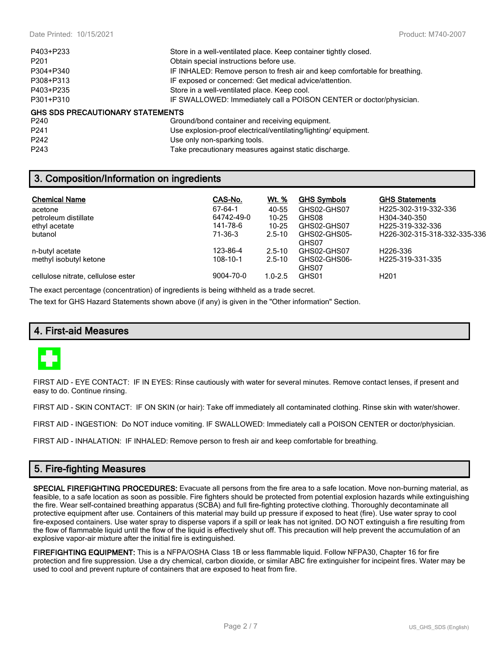| P403+P233                        | Store in a well-ventilated place. Keep container tightly closed.           |
|----------------------------------|----------------------------------------------------------------------------|
| P <sub>201</sub>                 | Obtain special instructions before use.                                    |
| P304+P340                        | IF INHALED: Remove person to fresh air and keep comfortable for breathing. |
| P308+P313                        | IF exposed or concerned: Get medical advice/attention.                     |
| P403+P235                        | Store in a well-ventilated place. Keep cool.                               |
| P301+P310                        | IF SWALLOWED: Immediately call a POISON CENTER or doctor/physician.        |
| GHS SDS PRECAUTIONARY STATEMENTS |                                                                            |
| P240                             | Ground/bond container and receiving equipment.                             |
| P <sub>241</sub>                 | Use explosion-proof electrical/ventilating/lighting/equipment.             |
| P <sub>242</sub>                 | Use only non-sparking tools.                                               |
| P <sub>243</sub>                 | Take precautionary measures against static discharge.                      |

# **3. Composition/Information on ingredients**

| <b>Chemical Name</b>               | CAS-No.    | Wt. %       | <b>GHS Symbols</b>    | <b>GHS Statements</b>                     |
|------------------------------------|------------|-------------|-----------------------|-------------------------------------------|
| acetone                            | 67-64-1    | 40-55       | GHS02-GHS07           | H225-302-319-332-336                      |
| petroleum distillate               | 64742-49-0 | $10 - 25$   | GHS08                 | H304-340-350                              |
| ethyl acetate                      | 141-78-6   | $10 - 25$   | GHS02-GHS07           | H <sub>225</sub> -319-332-336             |
| butanol                            | 71-36-3    | $2.5 - 10$  | GHS02-GHS05-<br>GHS07 | H <sub>226</sub> -302-315-318-332-335-336 |
| n-butyl acetate                    | 123-86-4   | $2.5 - 10$  | GHS02-GHS07           | H <sub>226</sub> -336                     |
| methyl isobutyl ketone             | 108-10-1   | $2.5 - 10$  | GHS02-GHS06-<br>GHS07 | H225-319-331-335                          |
| cellulose nitrate, cellulose ester | 9004-70-0  | $1.0 - 2.5$ | GHS01                 | H <sub>201</sub>                          |

The exact percentage (concentration) of ingredients is being withheld as a trade secret.

The text for GHS Hazard Statements shown above (if any) is given in the "Other information" Section.

### **4. First-aid Measures**



FIRST AID - EYE CONTACT: IF IN EYES: Rinse cautiously with water for several minutes. Remove contact lenses, if present and easy to do. Continue rinsing.

FIRST AID - SKIN CONTACT: IF ON SKIN (or hair): Take off immediately all contaminated clothing. Rinse skin with water/shower.

FIRST AID - INGESTION: Do NOT induce vomiting. IF SWALLOWED: Immediately call a POISON CENTER or doctor/physician.

FIRST AID - INHALATION: IF INHALED: Remove person to fresh air and keep comfortable for breathing.

# **5. Fire-fighting Measures**

**SPECIAL FIREFIGHTING PROCEDURES:** Evacuate all persons from the fire area to a safe location. Move non-burning material, as feasible, to a safe location as soon as possible. Fire fighters should be protected from potential explosion hazards while extinguishing the fire. Wear self-contained breathing apparatus (SCBA) and full fire-fighting protective clothing. Thoroughly decontaminate all protective equipment after use. Containers of this material may build up pressure if exposed to heat (fire). Use water spray to cool fire-exposed containers. Use water spray to disperse vapors if a spill or leak has not ignited. DO NOT extinguish a fire resulting from the flow of flammable liquid until the flow of the liquid is effectively shut off. This precaution will help prevent the accumulation of an explosive vapor-air mixture after the initial fire is extinguished.

**FIREFIGHTING EQUIPMENT:** This is a NFPA/OSHA Class 1B or less flammable liquid. Follow NFPA30, Chapter 16 for fire protection and fire suppression. Use a dry chemical, carbon dioxide, or similar ABC fire extinguisher for incipeint fires. Water may be used to cool and prevent rupture of containers that are exposed to heat from fire.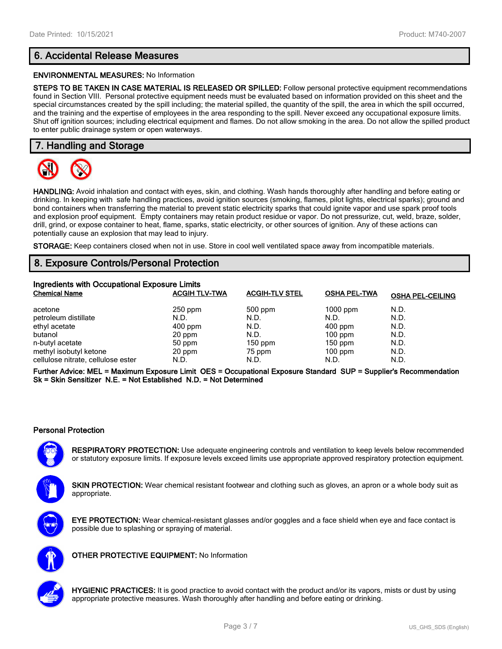# **6. Accidental Release Measures**

### **ENVIRONMENTAL MEASURES:** No Information

**STEPS TO BE TAKEN IN CASE MATERIAL IS RELEASED OR SPILLED:** Follow personal protective equipment recommendations found in Section VIII. Personal protective equipment needs must be evaluated based on information provided on this sheet and the special circumstances created by the spill including; the material spilled, the quantity of the spill, the area in which the spill occurred, and the training and the expertise of employees in the area responding to the spill. Never exceed any occupational exposure limits. Shut off ignition sources; including electrical equipment and flames. Do not allow smoking in the area. Do not allow the spilled product to enter public drainage system or open waterways.

# **7. Handling and Storage**



**HANDLING:** Avoid inhalation and contact with eyes, skin, and clothing. Wash hands thoroughly after handling and before eating or drinking. In keeping with safe handling practices, avoid ignition sources (smoking, flames, pilot lights, electrical sparks); ground and bond containers when transferring the material to prevent static electricity sparks that could ignite vapor and use spark proof tools and explosion proof equipment. Empty containers may retain product residue or vapor. Do not pressurize, cut, weld, braze, solder, drill, grind, or expose container to heat, flame, sparks, static electricity, or other sources of ignition. Any of these actions can potentially cause an explosion that may lead to injury.

**STORAGE:** Keep containers closed when not in use. Store in cool well ventilated space away from incompatible materials.

# **8. Exposure Controls/Personal Protection**

| Ingredients with Occupational Exposure Limits |                      |                       |                     |                         |  |  |
|-----------------------------------------------|----------------------|-----------------------|---------------------|-------------------------|--|--|
| <b>Chemical Name</b>                          | <b>ACGIH TLV-TWA</b> | <b>ACGIH-TLV STEL</b> | <b>OSHA PEL-TWA</b> | <b>OSHA PEL-CEILING</b> |  |  |
| acetone                                       | 250 ppm              | 500 ppm               | $1000$ ppm          | N.D.                    |  |  |
| petroleum distillate                          | N.D.                 | N.D.                  | N.D.                | N.D.                    |  |  |
| ethyl acetate                                 | $400$ ppm            | N.D.                  | $400$ ppm           | N.D.                    |  |  |
| butanol                                       | 20 ppm               | N.D.                  | $100$ ppm           | N.D.                    |  |  |
| n-butyl acetate                               | 50 ppm               | $150$ ppm             | $150$ ppm           | N.D.                    |  |  |
| methyl isobutyl ketone                        | 20 ppm               | 75 ppm                | $100$ ppm           | N.D.                    |  |  |
| cellulose nitrate, cellulose ester            | N.D.                 | N.D.                  | N.D.                | N.D.                    |  |  |

**Further Advice: MEL = Maximum Exposure Limit OES = Occupational Exposure Standard SUP = Supplier's Recommendation Sk = Skin Sensitizer N.E. = Not Established N.D. = Not Determined**

### **Personal Protection**

**RESPIRATORY PROTECTION:** Use adequate engineering controls and ventilation to keep levels below recommended or statutory exposure limits. If exposure levels exceed limits use appropriate approved respiratory protection equipment.

SKIN PROTECTION: Wear chemical resistant footwear and clothing such as gloves, an apron or a whole body suit as appropriate.

**EYE PROTECTION:** Wear chemical-resistant glasses and/or goggles and a face shield when eye and face contact is possible due to splashing or spraying of material.



**OTHER PROTECTIVE EQUIPMENT:** No Information



**HYGIENIC PRACTICES:** It is good practice to avoid contact with the product and/or its vapors, mists or dust by using appropriate protective measures. Wash thoroughly after handling and before eating or drinking.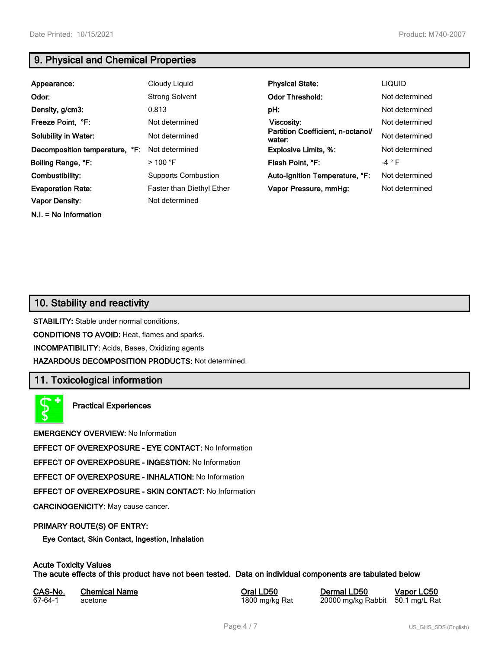# **9. Physical and Chemical Properties**

| Appearance:                    | Cloudy Liquid                    | <b>Physical State:</b>                      | <b>LIQUID</b>  |
|--------------------------------|----------------------------------|---------------------------------------------|----------------|
| Odor:                          | <b>Strong Solvent</b>            | <b>Odor Threshold:</b>                      | Not determined |
| Density, g/cm3:                | 0.813                            | pH:                                         | Not determined |
| Freeze Point, °F:              | Not determined                   | Viscosity:                                  | Not determined |
| <b>Solubility in Water:</b>    | Not determined                   | Partition Coefficient, n-octanol/<br>water: | Not determined |
| Decomposition temperature, °F: | Not determined                   | <b>Explosive Limits, %:</b>                 | Not determined |
| Boiling Range, °F:             | $>100$ °F                        | Flash Point. °F:                            | $-4 ° F$       |
| Combustibility:                | <b>Supports Combustion</b>       | Auto-Ignition Temperature, °F:              | Not determined |
| <b>Evaporation Rate:</b>       | <b>Faster than Diethyl Ether</b> | Vapor Pressure, mmHg:                       | Not determined |
| <b>Vapor Density:</b>          | Not determined                   |                                             |                |

**N.I. = No Information**

# **10. Stability and reactivity**

**STABILITY:** Stable under normal conditions.

**CONDITIONS TO AVOID:** Heat, flames and sparks.

**INCOMPATIBILITY:** Acids, Bases, Oxidizing agents

**HAZARDOUS DECOMPOSITION PRODUCTS:** Not determined.

### **11. Toxicological information**

**Practical Experiences**

**EMERGENCY OVERVIEW:** No Information

**EFFECT OF OVEREXPOSURE - EYE CONTACT:** No Information

**EFFECT OF OVEREXPOSURE - INGESTION:** No Information

**EFFECT OF OVEREXPOSURE - INHALATION:** No Information

**EFFECT OF OVEREXPOSURE - SKIN CONTACT:** No Information

**CARCINOGENICITY:** May cause cancer.

### **PRIMARY ROUTE(S) OF ENTRY:**

**Eye Contact, Skin Contact, Ingestion, Inhalation**

# **Acute Toxicity Values**

**The acute effects of this product have not been tested. Data on individual components are tabulated below**

| CAS-No. | <b>Chemical Name</b> | Oral LD50      | Dermal LD50                      | Vapor LC50 |
|---------|----------------------|----------------|----------------------------------|------------|
| 67-64-1 | acetone              | 1800 mg/kg Rat | 20000 mg/kg Rabbit 50.1 mg/L Rat |            |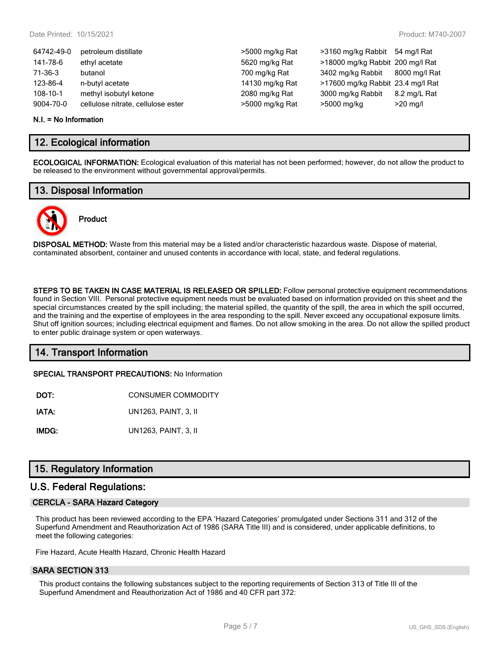| 64742-49-0 | petroleum distillate               | >5000 mg/kg Rat | >3160 mg/kg Rabbit 54 mg/l Rat    |               |
|------------|------------------------------------|-----------------|-----------------------------------|---------------|
| 141-78-6   | ethyl acetate                      | 5620 mg/kg Rat  | >18000 mg/kg Rabbit 200 mg/l Rat  |               |
| 71-36-3    | butanol                            | 700 mg/kg Rat   | 3402 mg/kg Rabbit                 | 8000 mg/l Rat |
| 123-86-4   | n-butyl acetate                    | 14130 mg/kg Rat | >17600 mg/kg Rabbit 23.4 mg/l Rat |               |
| 108-10-1   | methyl isobutyl ketone             | 2080 mg/kg Rat  | 3000 mg/kg Rabbit                 | 8.2 mg/L Rat  |
| 9004-70-0  | cellulose nitrate, cellulose ester | >5000 mg/kg Rat | >5000 mg/kg                       | $>20$ mg/l    |
|            |                                    |                 |                                   |               |

#### **N.I. = No Information**

### **12. Ecological information**

**ECOLOGICAL INFORMATION:** Ecological evaluation of this material has not been performed; however, do not allow the product to be released to the environment without governmental approval/permits.

### **13. Disposal Information**



# **Product**

**DISPOSAL METHOD:** Waste from this material may be a listed and/or characteristic hazardous waste. Dispose of material, contaminated absorbent, container and unused contents in accordance with local, state, and federal regulations.

**STEPS TO BE TAKEN IN CASE MATERIAL IS RELEASED OR SPILLED:** Follow personal protective equipment recommendations found in Section VIII. Personal protective equipment needs must be evaluated based on information provided on this sheet and the special circumstances created by the spill including; the material spilled, the quantity of the spill, the area in which the spill occurred, and the training and the expertise of employees in the area responding to the spill. Never exceed any occupational exposure limits. Shut off ignition sources; including electrical equipment and flames. Do not allow smoking in the area. Do not allow the spilled product to enter public drainage system or open waterways.

# **14. Transport Information**

**SPECIAL TRANSPORT PRECAUTIONS:** No Information

**IATA:** UN1263, PAINT, 3, II

**IMDG:** UN1263, PAINT, 3, II

# **15. Regulatory Information**

### **U.S. Federal Regulations:**

### **CERCLA - SARA Hazard Category**

This product has been reviewed according to the EPA 'Hazard Categories' promulgated under Sections 311 and 312 of the Superfund Amendment and Reauthorization Act of 1986 (SARA Title III) and is considered, under applicable definitions, to meet the following categories:

Fire Hazard, Acute Health Hazard, Chronic Health Hazard

### **SARA SECTION 313**

This product contains the following substances subject to the reporting requirements of Section 313 of Title III of the Superfund Amendment and Reauthorization Act of 1986 and 40 CFR part 372: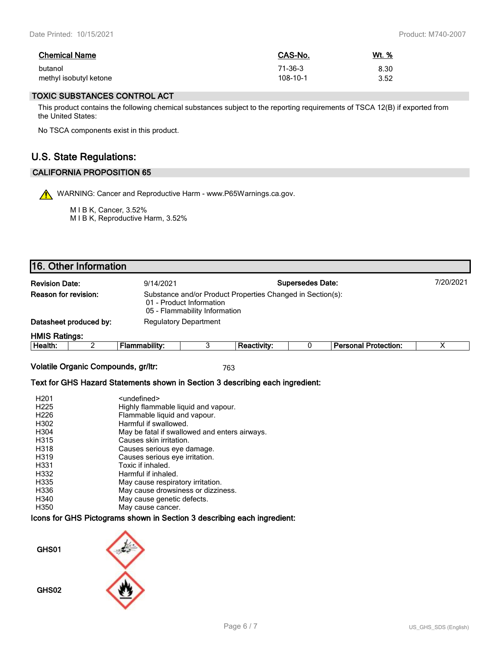| <b>Chemical Name</b>   | CAS-No.  | <u>Wt. %</u> |
|------------------------|----------|--------------|
| butanol                | 71-36-3  | 8.30         |
| methyl isobutyl ketone | 108-10-1 | 3.52         |

### **TOXIC SUBSTANCES CONTROL ACT**

This product contains the following chemical substances subject to the reporting requirements of TSCA 12(B) if exported from the United States:

No TSCA components exist in this product.

# **U.S. State Regulations:**

### **CALIFORNIA PROPOSITION 65**

WARNING: Cancer and Reproductive Harm - www.P65Warnings.ca.gov.

M I B K, Cancer, 3.52% M I B K, Reproductive Harm, 3.52%

|                                                               | 16. Other Information                                  |                                                                                                                         |  |                    |           |                             |  |
|---------------------------------------------------------------|--------------------------------------------------------|-------------------------------------------------------------------------------------------------------------------------|--|--------------------|-----------|-----------------------------|--|
| <b>Supersedes Date:</b><br><b>Revision Date:</b><br>9/14/2021 |                                                        |                                                                                                                         |  |                    | 7/20/2021 |                             |  |
| Reason for revision:                                          |                                                        | Substance and/or Product Properties Changed in Section(s):<br>01 - Product Information<br>05 - Flammability Information |  |                    |           |                             |  |
|                                                               | Datasheet produced by:<br><b>Regulatory Department</b> |                                                                                                                         |  |                    |           |                             |  |
| <b>HMIS Ratings:</b>                                          |                                                        |                                                                                                                         |  |                    |           |                             |  |
| Health:                                                       |                                                        | <b>Flammability:</b>                                                                                                    |  | <b>Reactivity:</b> |           | <b>Personal Protection:</b> |  |

**Volatile Organic Compounds, gr/ltr:** 763

### **Text for GHS Hazard Statements shown in Section 3 describing each ingredient:**

| H <sub>201</sub>  | <undefined></undefined>                       |
|-------------------|-----------------------------------------------|
| H <sub>225</sub>  | Highly flammable liquid and vapour.           |
| H <sub>226</sub>  | Flammable liquid and vapour.                  |
| H302              | Harmful if swallowed.                         |
| H <sub>304</sub>  | May be fatal if swallowed and enters airways. |
| H315              | Causes skin irritation.                       |
| H318              | Causes serious eye damage.                    |
| H <sub>3</sub> 19 | Causes serious eye irritation.                |
| H <sub>331</sub>  | Toxic if inhaled.                             |
| H332              | Harmful if inhaled.                           |
| H335              | May cause respiratory irritation.             |
| H <sub>336</sub>  | May cause drowsiness or dizziness.            |
| H340              | May cause genetic defects.                    |
| H350              | May cause cancer.                             |

**Icons for GHS Pictograms shown in Section 3 describing each ingredient:**